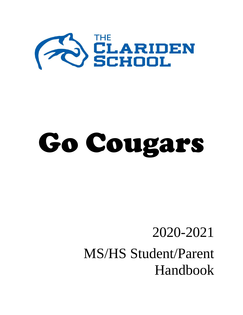

# Go Cougars

## 2020-2021 MS/HS Student/Parent Handbook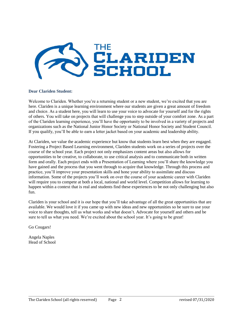

#### **Dear Clariden Student:**

Welcome to Clariden. Whether you're a returning student or a new student, we're excited that you are here. Clariden is a unique learning environment where our students are given a great amount of freedom and choice. As a student here, you will learn to use your voice to advocate for yourself and for the rights of others. You will take on projects that will challenge you to step outside of your comfort zone. As a part of the Clariden learning experience, you'll have the opportunity to be involved in a variety of projects and organizations such as the National Junior Honor Society or National Honor Society and Student Council. If you qualify, you'll be able to earn a letter jacket based on your academic and leadership ability.

At Clariden, we value the academic experience but know that students learn best when they are engaged. Fostering a Project Based Learning environment, Clariden students work on a series of projects over the course of the school year. Each project not only emphasizes content areas but also allows for opportunities to be creative, to collaborate, to use critical analysis and to communicate both in written form and orally. Each project ends with a Presentation of Learning where you'll share the knowledge you have gained and the process that you went through to acquire that knowledge. Through this process and practice, you'll improve your presentation skills and hone your ability to assimilate and discuss information. Some of the projects you'll work on over the course of your academic career with Clariden will require you to compete at both a local, national and world level. Competition allows for learning to happen within a context that is real and students find these experiences to be not only challenging but also fun.

Clariden is your school and it is our hope that you'll take advantage of all the great opportunities that are available. We would love it if you came up with new ideas and new opportunities so be sure to use your voice to share thoughts, tell us what works and what doesn't. Advocate for yourself and others and be sure to tell us what you need. We're excited about the school year. It's going to be great!

Go Cougars!

Angela Naples Head of School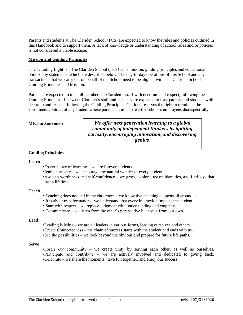Parents and students at The Clariden School (TCS) are expected to know the rules and policies outlined in this Handbook and to support them. A lack of knowledge or understanding of school rules and/or policies is not considered a viable excuse.

#### **Mission and Guiding Principles**

The "Guiding Light" of The Clariden School (TCS) is its mission, guiding principles and educational philosophy statements, which are described below. The day-to-day operations of this School and any transactions that we carry out on behalf of the School need to be aligned with The Clariden School's Guiding Principles and Mission.

Parents are expected to treat all members of Clariden's staff with decorum and respect, following the Guiding Principles. Likewise, Clariden's staff and teachers are expected to treat parents and students with decorum and respect, following the Guiding Principles. Clariden reserves the right to terminate the enrollment contract of any student whose parents harass or treat the school's employees disrespectfully.

#### **Mission Statement**

*We offer next generation learning to a global community of independent thinkers by igniting curiosity, encouraging innovation, and discovering genius.*

#### **Guiding Principles**

#### **Learn**

- •Foster a love of learning we are forever students.
- •Ignite curiosity we encourage the natural wonder of every student.
- •Awaken worthiness and self-confidence we grow, explore, try on identities, and find joys that last a lifetime.

#### **Teach**

- Teaching does not end in the classroom we know that teaching happens all around us.
- It is about transformation we understand that every interaction impacts the student.
- Start with respect we replace judgment with understanding and empathy.
- Communicate we listen from the other's perspective but speak from our own.

#### **Lead**

•Leading is being – we are all leaders in various forms, leading ourselves and others. •Create Connectedness – the chain of success starts with the student and ends with us. •See the possibilities – we look beyond the obvious and prepare for future life paths.

#### **Serve**

•Foster our community – we create unity by serving each other, as well as ourselves. •Participate and contribute – we are actively involved and dedicated to giving back. •Celebrate – we share the moments, have fun together, and enjoy our success.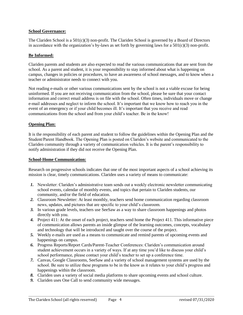#### **School Governance:**

The Clariden School is a 501(c)(3) non-profit. The Clariden School is governed by a Board of Directors in accordance with the organization's by-laws as set forth by governing laws for a  $501(c)(3)$  non-profit.

#### **Be Informed:**

Clariden parents and students are also expected to read the various communications that are sent from the school. As a parent and student, it is your responsibility to stay informed about what is happening on campus, changes in policies or procedures, to have an awareness of school messages, and to know when a teacher or administrator needs to connect with you.

Not reading e-mails or other various communications sent by the school is not a viable excuse for being uninformed. If you are not receiving communication from the school, please be sure that your contact information and correct email address is on file with the school. Often times, individuals move or change e-mail addresses and neglect to inform the school. It's important that we know how to reach you in the event of an emergency or if your child becomes ill. It's important that you receive and read communications from the school and from your child's teacher. Be in the know!

#### **Opening Plan:**

It is the responsibility of each parent and student to follow the guidelines within the Opening Plan and the Student/Parent Handbook. The Opening Plan is posted on Clariden's website and communicated to the Clariden community through a variety of communication vehicles. It is the parent's responsibility to notify administration if they did not receive the Opening Plan.

#### **School-Home Communication:**

Research on progressive schools indicates that one of the most important aspects of a school achieving its mission is clear, timely communications. Clariden uses a variety of means to communicate:

- *1.* Newsletter: Clariden's administrative team sends out a weekly electronic newsletter communicating school events, calendar of monthly events, and topics that pertain to Clariden students, our community, and/or the field of education.
- *2.* Classroom Newsletter: At least monthly, teachers send home communication regarding classroom news, updates, and pictures that are specific to your child's classroom.
- *3.* In various grade levels, teachers use SeeSaw as a way to share classroom happenings and photos directly with you.
- *4.* Project 411: At the onset of each project, teachers send home the Project 411. This informative piece of communication allows parents an inside glimpse of the learning outcomes, concepts, vocabulary and technology that will be introduced and taught over the course of the project.
- *5.* Weekly e-mails are used as a means to communicate and remind parents of upcoming events and happenings on campus.
- *6.* Progress Reports/Report Cards/Parent-Teacher Conferences: Clariden's communication around student achievement occurs in a variety of ways. If at any time you'd like to discuss your child's school performance, please contact your child's teacher to set up a conference time.
- *7.* Canvas, Google Classrooms, SeeSaw and a variety of school management systems are used by the school. Be sure to utilize these programs to be in the know as it relates to your child's progress and happenings within the classroom.
- *8.* Clariden uses a variety of social media platforms to share upcoming events and school culture.
- *9.* Clariden uses One Call to send community wide messages.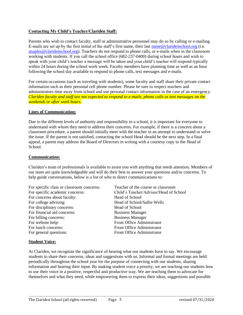#### **Contacting My Child's Teacher/Clariden Staff:**

Parents who wish to contact faculty, staff or administrative personnel may do so by calling or e-mailing. E-mails are set up by the first initial of the staff's first name, their last [name@claridenschool.org](mailto:name@claridenschool.org) (i.e. [anaples@claridenschool.org\)](mailto:anaples@claridenschool.org). Teachers do not respond to phone calls, or e-mails when in the classroom working with students. If you call the school office (682-237-0400) during school hours and wish to speak with your child's teacher a message will be taken and your child's teacher will respond typically within 24 hours during the school work week. Faculty members have planning time as well as an hour following the school day available to respond to phone calls, text messages and e-mails.

For certain occasions (such as traveling with students), some faculty and staff share their private contact information such as their personal cell phone number. Please be sure to respect teachers and administrators time away from school and use personal contact information in the case of an emergency*. Clariden faculty and staff are not expected to respond to e-mails, phone calls or text messages on the weekends or after work hours.*

#### **Lines of Communication:**

Due to the different levels of authority and responsibility in a school, it is important for everyone to understand with whom they need to address their concerns. For example, if there is a concern about a classroom procedure, a parent should initially meet with the teacher in an attempt to understand or solve the issue. If the parent is not satisfied, contacting the school Head should be the next step. In a final appeal, a parent may address the Board of Directors in writing with a courtesy copy to the Head of School.

#### **Communication:**

Clariden's team of professionals is available to assist you with anything that needs attention. Members of our team are quite knowledgeable and will do their best to answer your questions and/or concerns. To help guide conversations, below is a list of who to direct communications to:

For specific class or classroom concerns: Teacher of the course or classroom For specific academic concerns: Child's Teacher/Advisor/Head of School For concerns about faculty: Head of School For college advising: Head of School/Sallie Wells For disciplinary concerns: Head of School For financial aid concerns: Business Manager For billing concerns: Business Manager For website help: Front Office Administrator For lunch concerns: Front Office Administrator Front Office Administrator<br>Front Office Administrator

#### **Student Voice:**

At Clariden, we recognize the significance of hearing what our students have to say. We encourage students to share their concerns, ideas and suggestions with us. Informal and formal meetings are held periodically throughout the school year for the purpose of connecting with our students, sharing information and hearing their input. By making student voice a priority, we are teaching our students how to use their voice in a positive, respectful and productive way. We are teaching them to advocate for themselves and what they need, while empowering them to express their ideas, suggestions and possible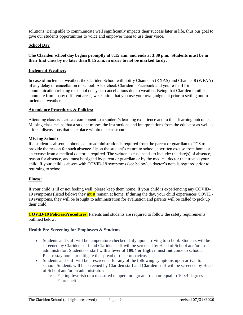solutions. Being able to communicate well significantly impacts their success later in life, thus our goal to give our students opportunities to voice and empower them to use their voice.

#### **School Day**

#### **The Clariden school day begins promptly at 8:15 a.m. and ends at 3:30 p.m. Students must be in their first class by no later than 8:15 a.m. in order to not be marked tardy.**

#### **Inclement Weather:**

In case of inclement weather, the Clariden School will notify Channel 5 (KXAS) and Channel 8 (WFAA) of any delay or cancellation of school. Also, check Clariden's Facebook and your e-mail for communication relating to school delays or cancellations due to weather. Being that Clariden families commute from many different areas, we caution that you use your own judgment prior to setting out in inclement weather.

#### **Attendance Procedures & Policies:**

Attending class is a critical component to a student's learning experience and to their learning outcomes. Missing class means that a student misses the instructions and interpretations from the educator as well as critical discussions that take place within the classroom.

#### **Missing School:**

If a student is absent, a phone call to administration is required from the parent or guardian to TCS to provide the reason for such absence. Upon the student's return to school, a written excuse from home or an excuse from a medical doctor is required. The written excuse needs to include: the date(s) of absence, reason for absence, and must be signed by parent or guardian or by the medical doctor that treated your child. If your child is absent with COVID-19 symptoms (see below), a doctor's note is required prior to returning to school.

#### **Illness:**

If your child is ill or not feeling well, please keep them home. If your child is experiencing any COVID-19 symptoms (listed below) they must remain at home. If during the day, your child experiences COVID-19 symptoms, they will be brought to administration for evaluation and parents will be called to pick up their child.

**COVID-19 Policies/Procedures:** Parents and students are required to follow the safety requirements outlined below:

#### **Health Pre-Screening for Employees & Students**

- Students and staff will be temperature checked daily upon arriving to school. Students will be screened by Clariden staff and Clariden staff will be screened by Head of School and/or an administrator. Students or staff with a fever of **100.4 or higher** must **not** come to school. Please stay home to mitigate the spread of the coronavirus.
- Students and staff will be prescreened for any of the following symptoms upon arrival to school. Students will be screened by Clariden staff and Clariden staff will be screened by Head of School and/or an administrator:
	- o Feeling feverish or a measured temperature greater than or equal to 100.4 degrees Fahrenheit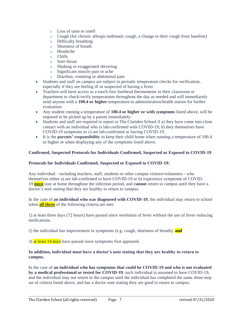- o Loss of taste or smell
- $\circ$  Cough (for chronic allergic/asthmatic cough, a change in their cough from baseline)
- o Difficulty breathing
- o Shortness of breath
- o Headache
- o Chills
- o Sore throat
- o Shaking or exaggerated shivering
- o Significant muscle pain or ache
- o Diarrhea, vomiting or abdominal pain
- Students and staff on campus are subject to periodic temperature checks for verification, especially if they are feeling ill or suspected of having a fever.
- Teachers will have access to a touch-free forehead thermometer in their classroom or department to check/verify temperatures throughout the day as needed and will immediately send anyone with a **100.4 or higher** temperature to administration/health station for further evaluation.
- Any student running a temperature of **100.4 or higher or with symptoms** listed above, will be required to be picked up by a parent immediately.
- Students and staff are required to report to The Clariden School if a) they have come into close contact with an individual who is lab-confirmed with COVID-19; b) they themselves have COVID-19 symptoms or c) are lab-confirmed as having COVID-19.
- It is the **parents' responsibility** to keep their child home when running a temperature of 100.4 or higher or when displaying any of the symptoms listed above.

#### **Confirmed, Suspected Protocols for Individuals Confirmed, Suspected or Exposed to COVID-19**

#### **Protocols for Individuals Confirmed, Suspected or Exposed to COVID-19:**

Any individual - including teachers, staff, students or other campus visitors/volunteers - who themselves either a) are lab-confirmed to have COVID-19 or b) experience symptoms of COVID-19 **must** stay at home throughout the infection period, and **cannot** return to campus until they have a doctor's note stating that they are healthy to return to campus.

In the case of **an individual who was diagnosed with COVID-19**, the individual may return to school when **all three** of the following criteria are met:

1) at least three days (72 hours) have passed since resolution of fever without the use of fever-reducing medications.

2) the individual has improvement in symptoms (e.g. cough, shortness of breath); **and**

3) at least 14 days have passed since symptoms first appeared.

#### **In addition, individual must have a doctor's note stating that they are healthy to return to campus.**

In the case of **an individual who has symptoms that could be COVID-19 and who is not evaluated by a medical professional or tested for COVID-19**, such individual is assumed to have COVID-19, and the individual may not return to the campus until the individual has completed the same three-step set of criteria listed above, and has a doctor note stating they are good to return to campus.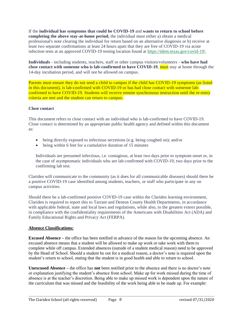If the **individual has symptoms that could be COVID-19** and **wants to return to school before completing the above stay-at-home period,** the individual must either a) obtain a medical professional's note clearing the individual for return based on an alternative diagnosis or b) receive at least two separate confirmations at least 24 hours apart that they are free of COVID-19 via acute infection tests at an approved COVID-19 testing location found at [https://tdem.texas.gov/covid-19/.](https://tdem.texas.gov/covid-19/)

**Individuals** - including students, teachers, staff or other campus visitors/volunteers - **who have had close contact with someone who is lab-confirmed to have COVID-19, must** stay at home through the 14-day incubation period, and will not be allowed on campus.

Parents must ensure they do not send a child to campus if the child has COVID-19 symptoms (as listed in this document), is lab-confirmed with COVID-19 or has had close contact with someone labconfirmed to have COVID-19. Students will receive remote synchronous instruction until the re-entry criteria are met and the student can return to campus.

#### **Close contact**

This document refers to close contact with an individual who is lab-confirmed to have COVID-19. Close contact is determined by an appropriate public health agency and defined within this document as:

- being directly exposed to infectious secretions (e.g. being coughed on); and/or
- being within 6 feet for a cumulative duration of 15 minutes

Individuals are presumed infectious, i.e. contagious, at least two days prior to symptom onset or, in the case of asymptomatic individuals who are lab-confirmed with COVID-19, two days prior to the confirming lab test.

Clariden will communicate to the community (as it does for all communicable diseases) should there be a positive COVID-19 case identified among students, teachers, or staff who participate in any on campus activities.

Should there be a lab-confirmed positive COVID-19 case within the Clariden learning environment, Clariden is required to report this to Tarrant and Denton County Health Departments, in accordance with applicable federal, state and local laws and regulations, while also, to the greatest extent possible, in compliance with the confidentiality requirements of the Americans with Disabilities Act (ADA) and Family Educational Rights and Privacy Act (FERPA).

#### **Absence Classifications:**

**Excused Absence –** the office has been notified in advance of the reason for the upcoming absence. An excused absence means that a student will be allowed to make up work or take work with them to complete while off campus. Extended absences (outside of a student medical reason) need to be approved by the Head of School. Should a student be out for a medical reason, a doctor's note is required upon the student's return to school, stating that the student is in good health and able to return to school.

**Unexcused Absence –** the office has **not** been notified prior to the absence and there is no doctor's note or explanation justifying the student's absence from school. Make up for work missed during the time of absence is at the teacher's discretion. Being able to make up missed work is dependent upon the nature of the curriculum that was missed and the feasibility of the work being able to be made up. For example: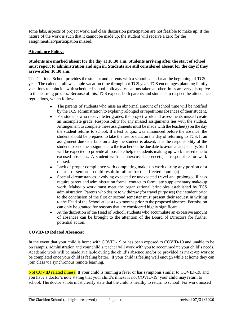some labs, aspects of project work, and class discussion participation are not feasible to make up. If the nature of the work is such that it cannot be made up, the student will receive a zero for the assignment/lab/participation missed.

#### **Attendance Policy:**

#### **Students are marked absent for the day at 10:30 a.m. Students arriving after the start of school must report to administration and sign in. Students are still considered absent for the day if they arrive after 10:30 a.m.**

The Clariden School provides the student and parents with a school calendar at the beginning of TCS year. The calendar allows ample vacation time throughout TCS year. TCS encourages planning family vacations to coincide with scheduled school holidays. Vacations taken at other times are very disruptive to the learning process. Because of this, TCS expects both parents and students to respect the attendance regulations, which follow:

- The parents of students who miss an abnormal amount of school time will be notified by the TCS administration to explain prolonged or repetitious absences of their student.
- For students who receive letter grades, the project work and assessments missed create an incomplete grade. Responsibility for any missed assignments lies with the student. Arrangement to complete these assignments must be made with the teacher(s) on the day the student returns to school. If a test or quiz was announced before the absence, the student should be prepared to take the test or quiz on the day of returning to TCS. If an assignment due date falls on a day the student is absent, it is the responsibility of the student to send the assignment to the teacher on the due date to avoid a late penalty. Staff will be expected to provide all possible help to students making up work missed due to excused absences. A student with an unexcused absence(s) is responsible for work missed.
- Lack of proper compliance with completing make-up work during any portion of a quarter or semester could result in failure for the affected course(s).
- Special circumstances involving expected or unexpected travel and prolonged illness require parent and administration formal contact to formulate supplementary make-up work. Make-up work must meet the organizational principles established by TCS administration. Parents who desire to withdraw (for travel purposes) their student prior to the conclusion of the first or second semester must present their request in writing to the Head of the School at least two months prior to the proposed absence. Permission can only be granted for reasons that are considered highly significant.
- At the discretion of the Head of School, students who accumulate an excessive amount of absences can be brought to the attention of the Board of Directors for further potential action.

#### **COVID-19 Related Absences:**

In the event that your child is home with COVID-19 or has been exposed to COVID-19 and unable to be on campus, administration and your child's teacher will work with you to accommodate your child's needs. Academic work will be made available during the child's absence and/or be provided as make-up work to be completed once your child is feeling better. If your child is feeling well enough while at home they can join class via synchronous remote learning.

Not COVID related illness: If your child is running a fever or has symptoms similar to COVID-19, and you have a doctor's note stating that your child's illness is not COVID-19, your child may return to school. The doctor's note must clearly state that the child is healthy to return to school. For work missed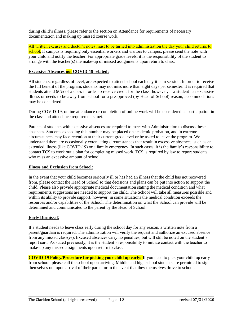during child's illness, please refer to the section on Attendance for requirements of necessary documentation and making up missed course work.

All written excuses and doctor's notes must to be turned into administration the day your child returns to school. If campus is requiring only essential workers and visitors to campus, please send the note with your child and notify the teacher. For appropriate grade levels, it is the responsibility of the student to arrange with the teacher(s) the make-up of missed assignments upon return to class.

#### **Excessive Absences not COVID-19 related:**

All students, regardless of level, are expected to attend school each day it is in session. In order to receive the full benefit of the program, students may not miss more than eight days per semester. It is required that students attend 90% of a class in order to receive credit for the class, however, if a student has excessive illness or needs to be away from school for a preapproved (by Head of School) reason, accommodations may be considered.

During COVID-19, online attendance or completion of online work will be considered as participation in the class and attendance requirements met.

Parents of students with excessive absences are required to meet with Administration to discuss these absences. Students exceeding this number may be placed on academic probation, and in extreme circumstances may face retention at their current grade level or be asked to leave the program. We understand there are occasionally extenuating circumstances that result in excessive absences, such as an extended illness (like COVID-19) or a family emergency. In such cases, it is the family's responsibility to contact TCS to work out a plan for completing missed work. TCS is required by law to report students who miss an excessive amount of school.

#### **Illness and Exclusion from School:**

In the event that your child becomes seriously ill or has had an illness that the child has not recovered from, please contact the Head of School so that decisions and plans can be put into action to support the child. Please also provide appropriate medical documentation stating the medical condition and what requirements/suggestions are needed to support the child. The School will take all measures possible and within its ability to provide support, however, in some situations the medical condition exceeds the resources and/or capabilities of the School. The determination on what the School can provide will be determined and communicated to the parent by the Head of School.

#### **Early Dismissal**:

If a student needs to leave class early during the school day for any reason, a written note from a parent/guardian is required. The administration will verify the request and authorize an excused absence from any missed class(es). Excused absences carry no penalties, but will still be noted on the student's report card. As stated previously, it is the student's responsibility to initiate contact with the teacher to make-up any missed assignments upon return to class.

**COVID-19 Policy/Procedure for picking your child up early:** If you need to pick your child up early from school, please call the school upon arriving. Middle and high school students are permitted to sign themselves out upon arrival of their parent or in the event that they themselves drove to school.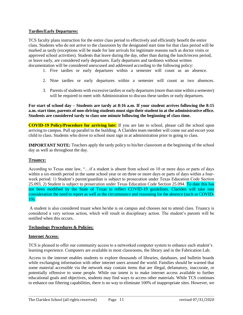#### **Tardies/Early Departures:**

TCS faculty plans instruction for the entire class period to effectively and efficiently benefit the entire class. Students who do not arrive to the classroom by the designated start time for that class period will be marked as tardy (exceptions will be made for late arrivals for legitimate reasons such as doctor visits or approved school activities). Students that leave during the day, other than during the lunch/recess period, or leave early, are considered early departures. Early departures and tardiness without written documentation will be considered unexcused and addressed according to the following policy:

- 1. Five tardies or early departures within a semester will count as an absence.
- 2. Nine tardies or early departures within a semester will count as two absences.
- 3. Parents of students with excessive tardies or early departures (more than nine within a semester) will be required to meet with Administration to discuss these tardies or early departures.

**For start of school day – Students are tardy at 8:16 a.m. If your student arrives following the 8:15 a.m. start time, parents of non-driving students must sign their student in at the administrative office. Students are considered tardy to class one minute following the beginning of class time.** 

**COVID-19 Policy/Procedure for arriving late:** If you are late to school, please call the school upon arriving to campus. Pull up parallel to the building. A Clariden team member will come out and escort your child to class. Students who drove to school must sign in at administration prior to going to class.

**IMPORTANT NOTE:** Teachers apply the tardy policy to his/her classroom at the beginning of the school day as well as throughout the day.

#### **Truancy:**

According to Texas state law, "…if a student is absent from school on 10 or more days or parts of days within a six-month period in the same school year or on three or more days or parts of days within a fourweek period: 1) Student's parent/guardian is subject to prosecution under Texas Education Code Section 25.093, 2) Student is subject to prosecution under Texas Education Code Section 25.094. To date this has not been modified by the State of Texas to reflect COVID-19 guidelines. Clariden will take into consideration the need to report as well as the circumstance and reasoning for the absence (such as COVID-19).

A student is also considered truant when he/she is on campus and chooses not to attend class. Truancy is considered a very serious action, which will result in disciplinary action. The student's parents will be notified when this occurs.

#### **Technology Procedures & Policies:**

#### **Internet Access:**

TCS is pleased to offer our community access to a networked computer system to enhance each student's learning experience. Computers are available in most classrooms, the library and in the Fabrication Lab.

Access to the internet enables students to explore thousands of libraries, databases, and bulletin boards while exchanging information with other internet users around the world. Families should be warned that some material accessible via the network may contain items that are illegal, defamatory, inaccurate, or potentially offensive to some people. While our intent is to make internet access available to further educational goals and objectives, students may find ways to access other materials. While TCS continues to enhance our filtering capabilities, there is no way to eliminate 100% of inappropriate sites. However, we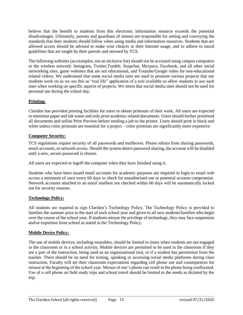believe that the benefit to students from this electronic information resource exceeds the potential disadvantages. Ultimately, parents and guardians of minors are responsible for setting and conveying the standards that their students should follow when using media and information resources. Students that are allowed access should be advised to make wise choices in their Internet usage, and to adhere to moral guidelines that are taught by their parents and stressed by TCS.

The following websites (as examples, not an inclusive list) should not be accessed using campus computers or the wireless network: Instagram, Twitter,Tumblr, Snapchat, Myspace, Facebook, and all other social networking sites, game websites that are not educational, and Youtube/Google video for non-educational related videos. We understand that some social media sites are used to promote various projects that our students work on as we see this as "real life" application of a tool available so allow students to use such sites when working on specific aspects of projects. We stress that social media sites should not be used for personal use during the school day.

#### **Printing:**

Clariden has provided printing facilities for users to obtain printouts of their work. All users are expected to minimize paper and ink waste and only print academic related documents. Users should further proofread all documents and utilize Print Preview before sending a job to the printer. Users should print in black and white unless color printouts are essential for a project – color printouts are significantly more expensive.

#### **Computer Security:**

TCS regulations require security of all passwords and mailboxes. Please refrain from sharing passwords, email accounts, or network access. Should the system detect password sharing, the account will be disabled until a new, secure password is chosen.

All users are expected to logoff the computer when they have finished using it.

Students who have been issued email accounts for academic purposes are required to login to email web access a minimum of once every 60 days to check for unauthorized use or potential account compromise. Network accounts attached to an email mailbox not checked within 60 days will be automatically locked out for security reasons.

#### **Technology Policy:**

All students are required to sign Clariden's Technology Policy. The Technology Policy is provided to families the summer prior to the start of each school year and given to all new students/families who begin over the course of the school year. If students misuse the privilege of technology, they may face suspension and/or expulsion from school as stated in the Technology Policy.

#### **Mobile Device Policy:**

The use of mobile devices, including wearables, should be limited to times when students are not engaged in the classroom or in a school activity. Mobile devices are permitted to be used in the classroom if they are a part of the instruction, being used as an organizational tool, or if a student has permission from the teacher. There should be no need for texting, speaking or accessing social media platforms during class instruction. Faculty will set their classroom expectations regarding cell phone use and consequences for misuse at the beginning of the school year. Misuse of one's phone can result in the phone being confiscated. Use of a cell phone on field study trips and school travel should be limited to the needs as dictated by the trip.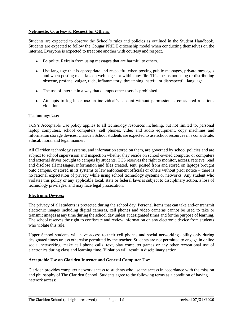#### **Netiquette, Courtesy & Respect for Others:**

Students are expected to observe the School's rules and policies as outlined in the Student Handbook. Students are expected to follow the Cougar PRIDE citizenship model when conducting themselves on the internet. Everyone is expected to treat one another with courtesy and respect.

- Be polite. Refrain from using messages that are harmful to others.
- Use language that is appropriate and respectful when posting public messages, private messages and when posting materials on web pages or within any file. This means not using or distributing obscene, profane, vulgar, rude, inflammatory, threatening, hateful or disrespectful language.
- The use of internet in a way that disrupts other users is prohibited.
- Attempts to log-in or use an individual's account without permission is considered a serious violation.

#### **Technology Use:**

TCS's Acceptable Use policy applies to all technology resources including, but not limited to, personal laptop computers, school computers, cell phones, video and audio equipment, copy machines and information storage devices. Clariden School students are expected to use school resources in a considerate, ethical, moral and legal manner.

All Clariden technology systems, and information stored on them, are governed by school policies and are subject to school supervision and inspection whether they reside on school-owned computer or computers and external drives brought to campus by students. TCS reserves the right to monitor, access, retrieve, read and disclose all messages, information and files created, sent, posted from and stored on laptops brought onto campus, or stored in its systems to law enforcement officials or others without prior notice – there is no rational expectation of privacy while using school technology systems or networks. Any student who violates this policy or any applicable local, state or federal laws is subject to disciplinary action, a loss of technology privileges, and may face legal prosecution.

#### **Electronic Devices:**

The privacy of all students is protected during the school day. Personal items that can take and/or transmit electronic images including digital cameras, cell phones and video cameras cannot be used to take or transmit images at any time during the school day unless at designated times and for the purpose of learning. The school reserves the right to confiscate and review information on any electronic device from students who violate this rule.

Upper School students will have access to their cell phones and social networking ability only during designated times unless otherwise permitted by the teacher. Students are not permitted to engage in online social networking, make cell phone calls, text, play computer games or any other recreational use of electronics during class and learning time. Violation will result in disciplinary action.

#### **Acceptable Use on Clariden Internet and General Computer Use:**

Clariden provides computer network access to students who use the access in accordance with the mission and philosophy of The Clariden School. Students agree to the following terms as a condition of having network access: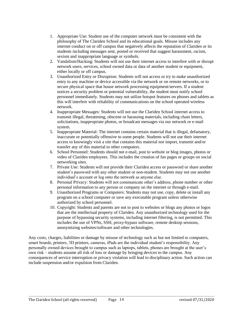- 1. Appropriate Use: Student use of the computer network must be consistent with the philosophy of The Clariden School and its educational goals. Misuse includes any internet conduct on or off campus that negatively affects the reputation of Clariden or its students including messages sent, posted or received that suggest harassment, racism, sexism and inappropriate language or symbols.
- 2. Vandalism/Hacking: Students will not use their internet access to interfere with or disrupt network users, services, school owned data or data of another student or equipment, either locally or off campus.
- 3. Unauthorized Entry or Disruption: Students will not access or try to make unauthorized entry to any machine or device accessible via the network or on remote networks, or to secure physical space that house network processing equipment/servers. If a student notices a security problem or potential vulnerability, the student must notify school personnel immediately. Students may not utilize hotspot features on phones and tablets as this will interfere with reliability of communications on the school operated wireless network.
- 4. Inappropriate Messages: Students will not use the Clariden School internet access to transmit illegal, threatening, obscene or harassing materials, including chain letters, solicitations, inappropriate photos, or broadcast messages via our network or e-mail system.
- 5. Inappropriate Material: The internet contains certain material that is illegal, defamatory, inaccurate or potentially offensive to some people. Students will not use their internet access to knowingly visit a site that contains this material nor import, transmit and/or transfer any of this material to other computers.
- 6. School Personnel: Students should not e-mail, post to website or blog images, photos or video of Clariden employees. This includes the creation of fan pages or groups on social networking sites.
- 7. Private Use: Students will not provide their Clariden access or password or share another student's password with any other student or non-student. Students may not use another individual's account or log onto the network as anyone else.
- 8. Personal Privacy: Students will not communicate other's address, phone number or other personal information to any person or company on the internet or through e-mail.
- 9. Unauthorized Programs or Computers: Students may not use, copy, delete or install any program on a school computer or save any executable program unless otherwise authorized by school personnel.
- 10. Copyright: Students and parents are not to post to websites or blogs any photos or logos that are the intellectual property of Clariden. Any unauthorized technology used for the purpose of bypassing security systems, including internet filtering, is not permitted. This includes the use of VPNs, SSH, proxy-bypass software, remote desktop sessions, anonymizing websites/software and other technologies.

Any costs, charges, liabilities or damage by misuse of technology such as but not limited to computers, smart boards, printers, 3D printers, cameras, iPads are the individual student's responsibility. Any personally owned devices brought to campus such as laptops, tablets, phones are brought at the user's own risk – students assume all risk of loss or damage by bringing devices to the campus. Any consequences of service interruption or privacy violation will lead to disciplinary action. Such action can include suspension and/or expulsion from Clariden.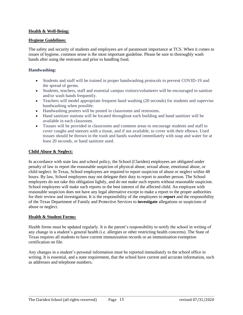#### **Health & Well-Being:**

#### **Hygiene Guidelines:**

The safety and security of students and employees are of paramount importance at TCS. When it comes to issues of hygiene, common sense is the most important guideline. Please be sure to thoroughly wash hands after using the restroom and prior to handling food.

#### **Handwashing:**

- Students and staff will be trained in proper handwashing protocols to prevent COVID-19 and the spread of germs.
- Students, teachers, staff and essential campus visitors/volunteers will be encouraged to sanitize and/or wash hands frequently.
- Teachers will model appropriate frequent hand washing (20 seconds) for students and supervise handwashing when possible.
- Handwashing posters will be posted in classrooms and restrooms.
- Hand sanitizer stations will be located throughout each building and hand sanitizer will be available in each classroom.
- Tissues will be provided in classrooms and common areas to encourage students and staff to cover coughs and sneezes with a tissue, and if not available, to cover with their elbows. Used tissues should be thrown in the trash and hands washed immediately with soap and water for at least 20 seconds, or hand sanitizer used.

#### **Child Abuse & Neglect:**

In accordance with state law and school policy, the School (Clariden) employees are obligated under penalty of law to report the reasonable suspicion of physical abuse, sexual abuse, emotional abuse, or child neglect. In Texas, School employees are required to report suspicion of abuse or neglect within 48 hours. By law, School employees may not delegate their duty to report to another person. The School employees do not take this obligation lightly, and do not make such reports without reasonable suspicion. School employees will make such reports in the best interest of the affected child. An employee with reasonable suspicion does not have any legal alternative except to make a report to the proper authorities for their review and investigation. It is the responsibility of the employees to **report** and the responsibility of the Texas Department of Family and Protective Services to **investigate** allegations or suspicions of abuse or neglect.

#### **Health & Student Forms:**

Health forms must be updated regularly. It is the parent's responsibility to notify the school in writing of any change in a student's general health (i.e. allergies or other restricting health concerns). The State of Texas requires all students to have current immunization records or an immunization exemption certification on file.

Any changes in a student's personal information must be reported immediately to the school office in writing. It is essential, and a state requirement, that the school have current and accurate information, such as addresses and telephone numbers.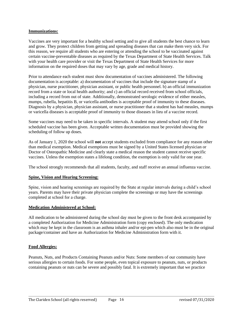#### **Immunizations:**

Vaccines are very important for a healthy school setting and to give all students the best chance to learn and grow. They protect children from getting and spreading diseases that can make them very sick. For this reason, we require all students who are entering or attending the school to be vaccinated against certain vaccine-preventable diseases as required by the Texas Department of State Health Services. Talk with your health care provider or visit the Texas Department of State Health Services for more information on the required doses that may vary by age, grade and medical history.

Prior to attendance each student must show documentation of vaccines administered. The following documentation is acceptable: a) documentation of vaccines that include the signature stamp of a physician, nurse practitioner, physician assistant, or public health personnel. b) an official immunization record from a state or local health authority; and c) an official record received from school officials, including a record from out of state. Additionally, demonstrated serologic evidence of either measles, mumps, rubella, hepatitis B, or varicella antibodies is acceptable proof of immunity to these diseases. Diagnosis by a physician, physician assistant, or nurse practitioner that a student has had measles, mumps or varicella diseases is acceptable proof of immunity to those diseases in lieu of a vaccine record.

Some vaccines may need to be taken in specific intervals. A student may attend school only if the first scheduled vaccine has been given. Acceptable written documentation must be provided showing the scheduling of follow up doses.

As of January 1, 2020 the school will **not** accept students excluded from compliance for any reason other than medical exemption. Medical exemptions must be signed by a United States licensed physician or Doctor of Osteopathic Medicine and clearly state a medical reason the student cannot receive specific vaccines. Unless the exemption states a lifelong condition, the exemption is only valid for one year.

The school strongly recommends that all students, faculty, and staff receive an annual influenza vaccine.

#### **Spine, Vision and Hearing Screening:**

Spine, vision and hearing screenings are required by the State at regular intervals during a child's school years. Parents may have their private physician complete the screenings or may have the screenings completed at school for a charge.

#### **Medication Administered at School:**

All medication to be administered during the school day must be given to the front desk accompanied by a completed Authorization for Medicine Administration form (copy enclosed). The only medication which may be kept in the classroom is an asthma inhaler and/or epi-pen which also must be in the original package/container and have an Authorization for Medicine Administration form with it.

#### **Food Allergies:**

Peanuts, Nuts, and Products Containing Peanuts and/or Nuts: Some members of our community have serious allergies to certain foods. For some people, even topical exposure to peanuts, nuts, or products containing peanuts or nuts can be severe and possibly fatal. It is extremely important that we practice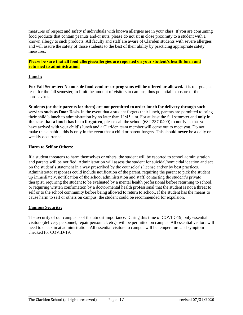measures of respect and safety if individuals with known allergies are in your class. If you are consuming food products that contain peanuts and/or nuts, please do not sit in close proximity to a student with a known allergy to such products. All faculty and staff are aware of Clariden students with severe allergies and will assure the safety of those students to the best of their ability by practicing appropriate safety measures.

**Please be sure that all food allergies/allergies are reported on your student's health form and returned to administration.**

#### **Lunch:**

**For Fall Semester: No outside food vendors or programs will be offered or allowed.** It is our goal, at least for the fall semester, to limit the amount of visitors to campus, thus potential exposure of the coronavirus.

**Students (or their parents for them) are not permitted to order lunch for delivery through such services such as Door Dash.** In the event that a student forgets their lunch, parents are permitted to bring their child's lunch to administration by no later than 11:45 a.m. For at least the fall semester and **only in the case that a lunch has been forgotten**, please call the school (682-237-0400) to notify us that you have arrived with your child's lunch and a Clariden team member will come out to meet you. Do not make this a habit – this is only in the event that a child or parent forgets. This should **never** be a daily or weekly occurrence.

#### **Harm to Self or Others:**

If a student threatens to harm themselves or others, the student will be escorted to school administration and parents will be notified. Administration will assess the student for suicidal/homicidal ideation and act on the student's statement in a way prescribed by the counselor's license and/or by best practices. Administrator responses could include notification of the parent, requiring the parent to pick the student up immediately, notification of the school administration and staff, contacting the student's private therapist, requiring the student to be evaluated by a mental health professional before returning to school, or requiring written confirmation by a doctor/mental health professional that the student is not a threat to self or to the school community before being allowed to return to school. If the student has the means to cause harm to self or others on campus, the student could be recommended for expulsion.

#### **Campus Security:**

The security of our campus is of the utmost importance. During this time of COVID-19, only essential visitors (delivery personnel, repair personnel, etc.) will be permitted on campus. All essential visitors will need to check in at administration. All essential visitors to campus will be temperature and symptom checked for COVID-19.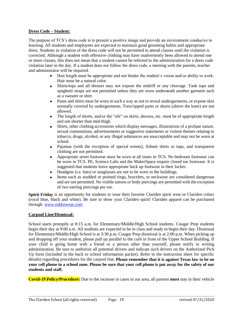#### **Dress Code – Student:**

The purpose of TCS's dress code is to present a positive image and provide an environment conducive to learning. All students and employees are expected to maintain good grooming habits and appropriate dress. Students in violation of the dress code will not be permitted to attend classes until the violation is corrected. Although a student with offensive clothing may have inadvertently been allowed to attend one or more classes, this does not mean that a student cannot be referred to the administration for a dress code violation later in the day. If a student does not follow the dress code, a meeting with the parents, teacher and administrator will be required.

- Hair length must be appropriate and not hinder the student's vision and/or ability to work. Hair must be a natural color.
- Shirts/tops and all dresses may not expose the midriff or any cleavage. Tank tops and spaghetti straps are not permitted unless they are worn underneath another garment such as a sweater or shirt.
- Pants and shirts must be worn in such a way as not to reveal undergarments, or expose skin normally covered by undergarments. Torn/ripped pants or shorts (above the knee) are not allowed.
- The length of shorts, and/or the "slit" on skirts, dresses, etc. must be of appropriate length and not shorter than mid-thigh.
- Shirts, other clothing accessories which display messages, illustrations of a profane nature, sexual connotations, advertisements or suggestive statements or violent themes relating to tobacco, drugs, alcohol, or any illegal substances are unacceptable and may not be worn at school.
- Pajamas (with the exception of special events), fishnet shirts or tops, and transparent clothing are not permitted.
- Appropriate street footwear must be worn at all times in TCS. No bedroom footwear can be worn in TCS. PE, Science Labs and the MakerSpace require closed toe footwear. It is suggested that students leave appropriate back up footwear in their locker.
- Headgear (i.e. hats) or sunglasses are not to be worn in the buildings.
- Items such as studded or pointed rings, bracelets, or neckwear are considered dangerous and are not permitted. No visible tattoos or body piercings are permitted with the exception of two earring piercings per ear.

**Spirit Friday** is an opportunity for students to wear their favorite Clariden spirit wear or Clariden colors (royal blue, black and white). Be sure to show your Clariden spirit! Clariden apparel can be purchased through: [www.rokkitwear.com](http://www.rokkitwear.com/)

#### **Carpool Line/Dismissal:**

School starts promptly at 8:15 a.m. for Elementary/Middle/High School students. Cougar Prep students begin their day at 9:00 a.m. All students are expected to be in class and ready to begin their day. Dismissal for Elementary/Middle/High School is at 3:30 p.m. Cougar Prep dismissal is at 2:00 p.m. When picking up and dropping off your student, please pull up parallel to the curb in front of the Upper School Building. If your child is going home with a friend or a person other than yourself, please notify in writing administration. Be sure to authorize all potential drivers and indicate such drivers on the Authorized Pick Up form (included in the back to school information packet). Refer to the instruction sheet for specific details) regarding procedures for the carpool line. **Please remember that it is against Texas law to be on your cell phone in a school zone. Please be sure that your cell phone is put away for the safety of our students and staff.**

**Covid-19 Policy/Procedure:** Due to the increase in cases in our area, all parents **must** stay in their vehicle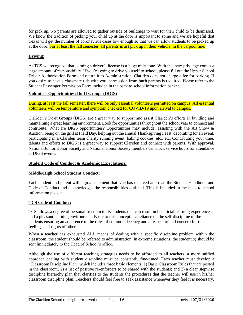for pick up. No parents are allowed to gather outside of buildings to wait for their child to be dismissed. We know the tradition of picking your child up at the door is important to some and we are hopeful that Texas will get the number of coronavirus cases low enough so that we can allow students to be picked up at the door. For at least the fall semester, all parents **must** pick up in their vehicle, in the carpool line.

#### **Driving:**

At TCS we recognize that earning a driver's license is a huge milestone. With this new privilege comes a large amount of responsibility. If you're going to drive yourself to school, please fill out the Upper School Driver Authorization Form and return it to Administration. Clariden does not charge a fee for parking. If you desire to have a classmate ride with you, permission from **both** parents is required. Please refer to the Student Passenger Permission Form included in the back to school information packet.

#### **Volunteer Opportunities: Do-It Groups (DIGS)**

During, at least the fall semester, there will be only essential volunteers permitted on campus. All essential volunteers will be temperature and symptom checked for COVID-19 upon arrival to campus.

Clariden's Do-It Groups (DIGS) are a great way to support and assist Clariden's efforts in building and maintaining a great learning environment. Look for opportunities throughout the school year to connect and contribute. What are DIGS opportunities? Opportunities may include: assisting with the Art Show & Auction, being on the grill at Field Day, helping out the annual Thanksgiving Feast, decorating for an event, participating in a Clariden team charity running event, baking cookies, etc., etc. Contributing your time, talents and efforts to DIGS is a great way to support Clariden and connect with parents. With approval, National Junior Honor Society and National Honor Society members can clock service hours for attendance at DIGS events.

#### **Student Code of Conduct & Academic Expectations:**

#### **Middle/High School Student Conduct:**

Each student and parent will sign a statement that s/he has received and read the Student-Handbook and Code of Conduct and acknowledges the responsibilities outlined. This is included in the back to school information packet.

#### **TCS Code of Conduct:**

TCS allows a degree of personal freedom to its students that can result in beneficial learning experiences and a pleasant learning environment. Basic to this concept is a reliance on the self-discipline of the students ensuring an adherence to the rules of common decency and a respect of and concern for the feelings and rights of others.

When a teacher has exhausted ALL means of dealing with a specific discipline problem within the classroom, the student should be referred to administration. In extreme situations, the student(s) should be sent immediately to the Head of School's office.

Although the use of different teaching strategies needs to be afforded to all teachers, a more unified approach dealing with student discipline must be constantly fine-tuned. Each teacher must develop a "Classroom Discipline Plan" which includes three basic elements: 1) Basic Classroom Rules that are posted in the classroom; 2) a list of positive re-enforcers to be shared with the students; and 3) a clear stepwise discipline hierarchy plan that clarifies to the students the procedures that the teacher will use in his/her classroom discipline plan. Teachers should feel free to seek assistance whenever they feel it is necessary.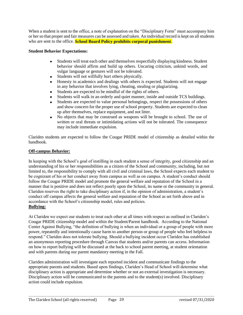When a student is sent to the office, a note of explanation on the "Disciplinary Form" must accompany him or her so that proper and fair measures can be assessed and taken. An individual record is kept on all students who are sent to the office. **School Board Policy prohibits corporal punishment**.

#### **Student Behavior Expectations:**

- Students will treat each other and themselves respectfully displaying kindness. Student behavior should affirm and build up others. Uncaring criticism, unkind words, and vulgar language or gestures will not be tolerated.
- Students will not willfully hurt others physically.
- Honesty in academics and dealings with others is expected. Students will not engage in any behavior that involves lying, cheating, stealing or plagiarizing.
- Students are expected to be mindful of the rights of others.
- Students will walk in an orderly and quiet manner, inside and outside TCS buildings.
- Students are expected to value personal belongings, respect the possessions of others and show concern for the proper use of school property. Students are expected to clean up after themselves, replace equipment, and not litter.
- No objects that may be construed as weapons will be brought to school. The use of written or oral threats or intimidating actions will not be tolerated. The consequence may include immediate expulsion.

Clariden students are expected to follow the Cougar PRIDE model of citizenship as detailed within the handbook.

#### **Off-campus Behavior:**

In keeping with the School's goal of instilling in each student a sense of integrity, good citizenship and an understanding of his or her responsibilities as a citizen of the School and community, including, but not limited to, the responsibility to comply with all civil and criminal laws, the School expects each student to be cognizant of his or her conduct away from campus as well as on campus. A student's conduct should follow the Cougar PRIDE model and promote the general welfare and reputation of the School in a manner that is positive and does not reflect poorly upon the School, its name or the community in general. Clariden reserves the right to take disciplinary action if, in the opinion of administration, a student's conduct off campus affects the general welfare and reputation of the School as set forth above and in accordance with the School's citizenship model, rules and policies. **Bullying:**

At Clariden we expect our students to treat each other at all times with respect as outlined in Clariden's Cougar PRIDE citizenship model and within the Student/Parent handbook. According to the National Center Against Bullying, "the definition of bullying is when an individual or a group of people with more power, repeatedly and intentionally cause harm to another person or group of people who feel helpless to respond." Clariden does not tolerate bullying. Should a bullying incident occur Clariden has established an anonymous reporting procedure through Canvas that students and/or parents can access. Information on how to report bullying will be discussed at the back to school parent meeting, at student orientation and with parents during our parent mandatory meeting in the Fall.

Clariden administration will investigate each reported incident and communicate findings to the appropriate parents and students. Based upon findings, Clariden's Head of School will determine what disciplinary action is appropriate and determine whether or not an external investigation is necessary. Disciplinary action will be communicated to the parents and to the student(s) involved. Disciplinary action could include expulsion.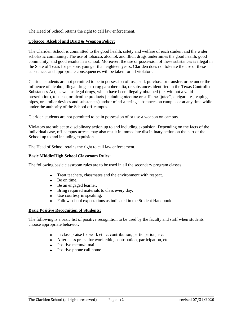The Head of School retains the right to call law enforcement.

#### **Tobacco, Alcohol and Drug & Weapon Policy:**

The Clariden School is committed to the good health, safety and welfare of each student and the wider scholastic community. The use of tobacco, alcohol, and illicit drugs undermines the good health, good community, and good results in a school. Moreover, the use or possession of these substances is illegal in the State of Texas for persons younger than eighteen years. Clariden does not tolerate the use of these substances and appropriate consequences will be taken for all violators.

Clariden students are not permitted to be in possession of, use, sell, purchase or transfer, or be under the influence of alcohol, illegal drugs or drug paraphernalia, or substances identified in the Texas Controlled Substances Act, as well as legal drugs, which have been illegally obtained (i.e. without a valid prescription), tobacco, or nicotine products (including nicotine or caffeine "juice", e-cigarettes, vaping pipes, or similar devices and substances) and/or mind-altering substances on campus or at any time while under the authority of the School off-campus.

Clariden students are not permitted to be in possession of or use a weapon on campus.

Violators are subject to disciplinary action up to and including expulsion. Depending on the facts of the individual case, off-campus arrests may also result in immediate disciplinary action on the part of the School up to and including expulsion.

The Head of School retains the right to call law enforcement.

#### **Basic Middle/High School Classroom Rules:**

The following basic classroom rules are to be used in all the secondary program classes:

- Treat teachers, classmates and the environment with respect.
- Be on time.
- Be an engaged learner.
- Bring required materials to class every day.
- Use courtesy in speaking.
- Follow school expectations as indicated in the Student Handbook.

#### **Basic Positive Recognition of Students:**

The following is a basic list of positive recognition to be used by the faculty and staff when students choose appropriate behavior:

- In class praise for work ethic, contribution, participation, etc.
- After class praise for work ethic, contribution, participation, etc.
- Positive memo/e-mail
- Positive phone call home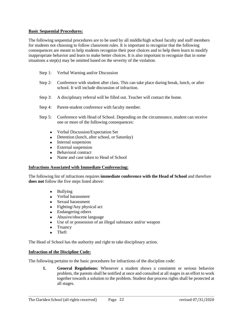#### **Basic Sequential Procedures:**

The following sequential procedures are to be used by all middle/high school faculty and staff members for students not choosing to follow classroom rules. It is important to recognize that the following consequences are meant to help students recognize their poor choices and to help them learn to modify inappropriate behavior and learn to make better choices. It is also important to recognize that in some situations a step(s) may be omitted based on the severity of the violation.

- Step 1: Verbal Warning and/or Discussion
- Step 2: Conference with student after class. This can take place during break, lunch, or after school. It will include discussion of infraction.
- Step 3: A disciplinary referral will be filled out. Teacher will contact the home.
- Step 4: Parent-student conference with faculty member.
- Step 5: Conference with Head of School. Depending on the circumstance, student can receive one or more of the following consequences:
	- Verbal Discussion/Expectation Set
	- Detention (lunch, after school, or Saturday)
	- Internal suspension
	- External suspension
	- Behavioral contract
	- Name and case taken to Head of School

#### **Infractions Associated with Immediate Conferencing:**

The following list of infractions requires **immediate conference with the Head of School** and therefore **does not** follow the five steps listed above:

- Bullying
- Verbal harassment
- Sexual harassment
- Fighting/Any physical act
- Endangering others
- Abusive/obscene language
- Use of or possession of an illegal substance and/or weapon
- Truancy
- Theft

The Head of School has the authority and right to take disciplinary action.

#### **Infraction of the Discipline Code:**

The following pertains to the basic procedures for infractions of the discipline code:

**1. General Regulations:** Whenever a student shows a consistent or serious behavior problem, the parents shall be notified at once and consulted at all stages in an effort to work together towards a solution to the problem. Student due process rights shall be protected at all stages.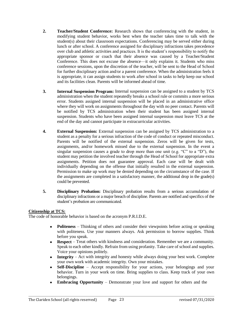- **2. Teacher/Student Conference:** Research shows that conferencing with the student, in modifying student behavior, works best when the teacher takes time to talk with the student(s) about their classroom expectations. Conferencing may be served either during lunch or after school. A conference assigned for disciplinary infractions takes precedence over club and athletic activities and practices. It is the student's responsibility to notify the appropriate sponsor or coach that their absence was caused by a Teacher/Student Conference. This does not excuse the absence—it only explains it. Students who miss conference sessions, upon the discretion of the teacher, will be sent to the Head of School for further disciplinary action and/or a parent conference. When the administration feels it is appropriate, it can assign students to work after school in tasks to help keep our school and its facilities clean. Parents will be informed ahead of time.
- **3. Internal Suspension Program:** Internal suspension can be assigned to a student by TCS administration when the student repeatedly breaks a school rule or commits a more serious error. Students assigned internal suspension will be placed in an administrative office where they will work on assignments throughout the day with no peer contact. Parents will be notified by TCS administration when their student has been assigned internal suspension. Students who have been assigned internal suspension must leave TCS at the end of the day and cannot participate in extracurricular activities.
- **4. External Suspension:** External suspension can be assigned by TCS administration to a student as a penalty for a serious infraction of the code of conduct or repeated misconduct. Parents will be notified of the external suspension. Zeros will be given for tests, assignments, and/or homework missed due to the external suspension. In the event a singular suspension causes a grade to drop more than one unit (e.g. " $C$ " to a "D"), the student may petition the involved teacher through the Head of School for appropriate extra assignments. Petition does not guarantee approval. Each case will be dealt with individually depending on the offense that initially resulted in the external suspension. Permission to make up work may be denied depending on the circumstance of the case. If the assignments are completed in a satisfactory manner, the additional drop in the grade(s) could be prevented.
- **5. Disciplinary Probation:** Disciplinary probation results from a serious accumulation of disciplinary infractions or a major breach of discipline. Parents are notified and specifics of the student's probation are communicated.

#### **Citizenship at TCS:**

The code of honorable behavior is based on the acronym P.R.I.D.E.

- **Politeness** Thinking of others and consider their viewpoints before acting or speaking with politeness. Use your manners always. Ask permission to borrow supplies. Think before you speak.
- **Respect** Treat others with kindness and consideration. Remember we are a community. Speak to each other kindly. Refrain from using profanity. Take care of school and supplies. Voice your opinions politely.
- **Integrity** Act with integrity and honesty while always doing your best work. Complete your own work with academic integrity. Own your mistakes.
- **Self-Discipline** Accept responsibility for your actions, your belongings and your behavior. Turn in your work on time. Bring supplies to class. Keep track of your own belongings.
- **Embracing Opportunity** Demonstrate your love and support for others and the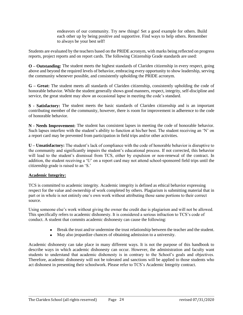endeavors of our community. Try new things! Set a good example for others. Build each other up by being positive and supportive. Find ways to help others. Remember to always be your best self!

Students are evaluated by the teachers based on the PRIDE acronym, with marks being reflected on progress reports, project reports and on report cards. The following Citizenship Grade standards are used:

**O – Outstanding:** The student meets the highest standards of Clariden citizenship in every respect, going above and beyond the required levels of behavior, embracing every opportunity to show leadership, serving the community whenever possible, and consistently upholding the PRIDE acronym.

**G – Great:** The student meets all standards of Clariden citizenship, consistently upholding the code of honorable behavior. While the student generally shows good manners, respect, integrity, self-discipline and service, the great student may show an occasional lapse in meeting the code's standard.

**S - Satisfactory:** The student meets the basic standards of Clariden citizenship and is an important contributing member of the community, however, there is room for improvement in adherence to the code of honorable behavior.

**N - Needs Improvement:** The student has consistent lapses in meeting the code of honorable behavior. Such lapses interfere with the student's ability to function at his/her best. The student receiving an 'N' on a report card may be prevented from participation in field trips and/or other activities.

**U – Unsatisfactory:** The student's lack of compliance with the code of honorable behavior is disruptive to the community and significantly impairs the student's educational process. If not corrected, this behavior will lead to the student's dismissal from TCS, either by expulsion or non-renewal of the contract. In addition, the student receiving a 'U' on a report card may not attend school-sponsored field trips until the citizenship grade is raised to an 'S.'

#### **Academic Integrity:**

TCS is committed to academic integrity. Academic integrity is defined as ethical behavior expressing respect for the value and ownership of work completed by others. Plagiarism is submitting material that in part or in whole is not entirely one's own work without attributing those same portions to their correct source.

Using someone else's work without giving the owner the credit due is plagiarism and will not be allowed. This specifically refers to academic dishonesty. It is considered a serious infraction to TCS's code of conduct. A student that commits academic dishonesty can cause the following:

- Break the trust and/or undermine the trust relationship between the teacher and the student.
- May also jeopardize chances of obtaining admission to a university.

Academic dishonesty can take place in many different ways. It is not the purpose of this handbook to describe ways in which academic dishonesty can occur. However, the administration and faculty want students to understand that academic dishonesty is in contrary to the School's goals and objectives. Therefore, academic dishonesty will not be tolerated and sanctions will be applied to those students who act dishonest in presenting their schoolwork. Please refer to TCS's Academic Integrity contract.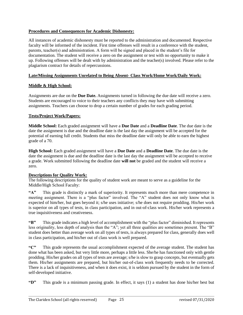#### **Procedures and Consequences for Academic Dishonesty:**

All instances of academic dishonesty must be reported to the administration and documented. Respective faculty will be informed of the incident. First time offenses will result in a conference with the student, parents, teacher(s) and administration. A form will be signed and placed in the student's file for documentation. The student will receive a zero on the assignment or test with no opportunity to make it up. Following offenses will be dealt with by administration and the teacher(s) involved. Please refer to the plagiarism contract for details of repercussions.

#### **Late/Missing Assignments Unrelated to Being Absent- Class Work/Home Work/Daily Work:**

#### **Middle & High School:**

Assignments are due on the **Due Date.** Assignments turned in following the due date will receive a zero. Students are encouraged to voice to their teachers any conflicts they may have with submitting assignments. Teachers can choose to drop a certain number of grades for each grading period.

#### **Tests/Project Work/Papers:**

**Middle School:** Each graded assignment will have a **Due Date** and a **Deadline Date**. The due date is the date the assignment is due and the deadline date is the last day the assignment will be accepted for the potential of earning full credit. Students that miss the deadline date will only be able to earn the highest grade of a 70.

**High School:** Each graded assignment will have a **Due Date** and a **Deadline Date**. The due date is the date the assignment is due and the deadline date is the last day the assignment will be accepted to receive a grade. Work submitted following the deadline date **will not** be graded and the student will receive a zero.

#### **Descriptions for Quality Work:**

The following descriptions for the quality of student work are meant to serve as a guideline for the Middle/High School Faculty:

**"A"** This grade is distinctly a mark of superiority. It represents much more than mere competence in meeting assignment. There is a "plus factor" involved. The "A" student does not only know what is expected of him/her, but goes beyond it; s/he uses initiative; s/he does not require prodding. His/her work is superior on all types of tests, in class participation, and in out-of-class work. His/her work represents a true inquisitiveness and creativeness.

**"B"** This grade indicates a high level of accomplishment with the "plus factor" diminished. It represents less originality, less depth of analysis than the "A"; yet all three qualities are sometimes present. The "B" student does better than average work on all types of tests, is always prepared for class, generally does well in class participation, and his/her out of class work is well prepared.

**"C"** This grade represents the usual accomplishment expected of the average student. The student has done what has been asked, but very little more, perhaps a little less. She/he has functioned only with gentle prodding. His/her grades on all types of tests are average; s/he is slow to grasp concepts, but eventually gets them. His/her assignments are prepared, but his/her out-of-class work frequently needs to be corrected. There is a lack of inquisitiveness, and when it does exist, it is seldom pursued by the student in the form of self-developed initiative.

**"D"** This grade is a minimum passing grade. In effect, it says (1) a student has done his/her best but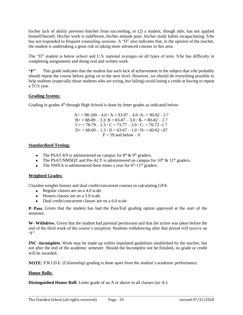his/her lack of ability prevents him/her from succeeding, or (2) a student, though able, has not applied himself/herself. His/her work is indifferent, his/her attitude poor, his/her study habits incapacitating. S/he has not responded to frequent counseling sessions. A "D" also indicates that, in the opinion of the teacher, the student is undertaking a great risk in taking more advanced courses in this area.

The "D" student is below school and U.S. national averages on all types of tests. S/he has difficulty in completing assignments and doing oral and written work.

**"F"** This grade indicates that the student has such lack of achievement in the subject that s/he probably should repeat the course before going on to the next level. However, we should do everything possible to help students (especially those students who are trying, but failing) avoid losing a credit or having to repeat a TCS year.

#### **Grading System:**

Grading in grades 4<sup>th</sup> through High School is done by letter grades as indicated below:

 $A+= 98-100 - 4.0 / A = 93-97 - 4.0 / A = 90-92 - 3.7$  $B_0 = 88-89 - 3.3/B = 83-87 - 3.0/B = 80-82 - 2.7$  $C_{+}$  = 78-79 – 2.3 / C = 73-77 – 2.0 / C- = 70-72 -1.7  $D+= 68-69 - 1.3 / D = 63-67 - 1.0 / D = 60-62 - 0.07$  $F = 59$  and below  $- 0$ 

#### **Standardized Testing:**

- The PSAT 8/9 is administered on campus for  $8<sup>th</sup> \& 9<sup>th</sup>$  graders.
- The PSAT/NMSOT and Pre-ACT is administered on campus for  $10<sup>th</sup>$  &  $11<sup>th</sup>$  graders.
- The NWEA is administered three times a year for  $6<sup>th</sup>$ -11<sup>th</sup> graders.

#### **Weighted Grades:**

Clariden weights honors and dual credit/concurrent courses in calculating GPA.

- Regular classes are on a 4.0 scale
- Honors classes are on a 5.0 scale
- Dual credit/concurrent classes are on a 6.0 scale

**P- Pass.** Given that the student has had the Pass/Fail grading option approved at the start of the semester.

**W- Withdrew.** Given that the student had parental permission and that the action was taken before the end of the third week of the course's inception. Students withdrawing after that period will receive an "F".

**INC -Incomplete.** Work may be made up within stipulated guidelines established by the teacher, but not after the end of the academic semester. Should the Incomplete not be finished, no grade or credit will be awarded.

**NOTE:** P.R.I.D.E. (Citizenship) grading is done apart from the student's academic performance.

#### **Honor Rolls:**

**Distinguished Honor Roll:** Letter grade of an A or above in all classes (no A-)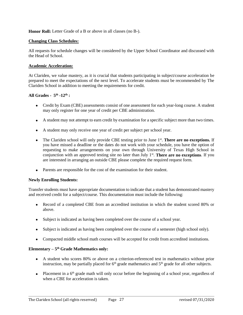**Honor Roll:** Letter Grade of a B or above in all classes (no B-).

#### **Changing Class Schedules:**

All requests for schedule changes will be considered by the Upper School Coordinator and discussed with the Head of School.

#### **Academic Acceleration:**

At Clariden, we value mastery, as it is crucial that students participating in subject/course acceleration be prepared to meet the expectations of the next level. To accelerate students must be recommended by The Clariden School in addition to meeting the requirements for credit.

#### **All Grades - 5 th -12th :**

- Credit by Exam (CBE) assessments consist of one assessment for each year-long course. A student may only register for one year of credit per CBE administration.
- A student may not attempt to earn credit by examination for a specific subject more than two times.
- A student may only receive one year of credit per subject per school year.
- The Clariden school will only provide CBE testing prior to June 1<sup>st</sup>. There are no exceptions. If you have missed a deadline or the dates do not work with your schedule, you have the option of requesting to make arrangements on your own through University of Texas High School in conjunction with an approved testing site no later than July 1<sup>st</sup>. There are no exceptions. If you are interested in arranging an outside CBE please complete the required request form.
- Parents are responsible for the cost of the examination for their student.

#### **Newly Enrolling Students:**

Transfer students must have appropriate documentation to indicate that a student has demonstrated mastery and received credit for a subject/course. This documentation must include the following:

- Record of a completed CBE from an accredited institution in which the student scored 80% or above.
- Subject is indicated as having been completed over the course of a school year.
- Subject is indicated as having been completed over the course of a semester (high school only).
- Compacted middle school math courses will be accepted for credit from accredited institutions.

#### **Elementary – 5 th Grade Mathematics only:**

- A student who scores 80% or above on a criterion-referenced test in mathematics without prior instruction, may be partially placed for  $6<sup>th</sup>$  grade mathematics and  $5<sup>th</sup>$  grade for all other subjects.
- Placement in a 6<sup>th</sup> grade math will only occur before the beginning of a school year, regardless of when a CBE for acceleration is taken.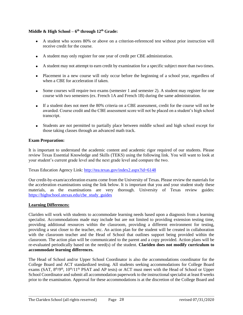#### **Middle & High School – 6 th through 12th Grade:**

- A student who scores 80% or above on a criterion-referenced test without prior instruction will receive credit for the course.
- A student may only register for one year of credit per CBE administration.
- A student may not attempt to earn credit by examination for a specific subject more than two times.
- Placement in a new course will only occur before the beginning of a school year, regardless of when a CBE for acceleration if taken.
- Some courses will require two exams (semester 1 and semester 2). A student may register for one course with two semesters (ex. French 1A and French 1B) during the same administration.
- If a student does not meet the 80% criteria on a CBE assessment, credit for the course will not be awarded. Course credit and the CBE assessment score will not be placed on a student's high school transcript.
- Students are not permitted to partially place between middle school and high school except for those taking classes through an advanced math track.

#### **Exam Preparation:**

It is important to understand the academic content and academic rigor required of our students. Please review Texas Essential Knowledge and Skills (TEKS) using the following link. You will want to look at your student's current grade level and the next grade level and compare the two.

Texas Education Agency Link:<http://tea.texas.gov/index2.aspx?id=6148>

Our credit-by-exam/acceleration exams come from the University of Texas. Please review the materials for the acceleration examinations using the link below. It is important that you and your student study these materials, as the examinations are very thorough. University of Texas review guides: [https://highschool.utexas.edu/cbe\\_study\\_guides](https://highschool.utexas.edu/cbe_study_guides)

#### **Learning Differences:**

Clariden will work with students to accommodate learning needs based upon a diagnosis from a learning specialist. Accommodations made may include but are not limited to providing extension testing time, providing additional resources within the classroom, providing a different environment for testing, providing a seat closer to the teacher, etc. An action plan for the student will be created in collaboration with the classroom teacher and the Head of School that outlines support being provided within the classroom. The action plan will be communicated to the parent and a copy provided. Action plans will be re-evaluated periodically based on the need(s) of the student. **Clariden does not modify curriculum to accommodate learning differences.**

The Head of School and/or Upper School Coordinator is also the accommodations coordinator for the College Board and ACT standardized testing. All students seeking accommodations for College Board exams (SAT, 8<sup>th</sup>/9<sup>th</sup>, 10<sup>th</sup>/11<sup>th</sup> PSAT and AP tests) or ACT must meet with the Head of School or Upper School Coordinator and submit all accommodation paperwork to the instructional specialist at least 8 weeks prior to the examination. Approval for these accommodations is at the discretion of the College Board and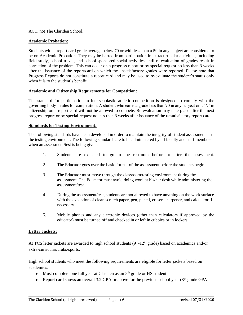ACT, not The Clariden School.

#### **Academic Probation:**

Students with a report card grade average below 70 or with less than a 59 in any subject are considered to be on Academic Probation. They may be barred from participation in extracurricular activities, including field study, school travel, and school-sponsored social activities until re-evaluation of grades result in correction of the problem. This can occur on a progress report or by special request no less than 3 weeks after the issuance of the report/card on which the unsatisfactory grades were reported. Please note that Progress Reports do not constitute a report card and may be used to re-evaluate the student's status only when it is to the student's benefit.

#### **Academic and Citizenship Requirements for Competition:**

The standard for participation in interscholastic athletic competition is designed to comply with the governing body's rules for competition. A student who earns a grade less than 70 in any subject or a 'N' in citizenship on a report card will not be allowed to compete. Re-evaluation may take place after the next progress report or by special request no less than 3 weeks after issuance of the unsatisfactory report card.

#### **Standards for Testing Environment:**

The following standards have been developed in order to maintain the integrity of student assessments in the testing environment. The following standards are to be administered by all faculty and staff members when an assessment/test is being given:

- 1. Students are expected to go to the restroom before or after the assessment.
- 2. The Educator goes over the basic format of the assessment before the students begin.
- 3. The Educator must move through the classroom/testing environment during the assessment. The Educator must avoid doing work at his/her desk while administering the assessment/test.
- 4. During the assessment/test, students are not allowed to have anything on the work surface with the exception of clean scratch paper, pen, pencil, eraser, sharpener, and calculator if necessary.
- 5. Mobile phones and any electronic devices (other than calculators if approved by the educator) must be turned off and checked in or left in cubbies or in lockers.

#### **Letter Jackets:**

At TCS letter jackets are awarded to high school students  $(9<sup>th</sup>-12<sup>th</sup>$  grade) based on academics and/or extra-curricular/clubs/sports.

High school students who meet the following requirements are eligible for letter jackets based on academics:

- Must complete one full year at Clariden as an 8<sup>th</sup> grade or HS student.
- Report card shows an overall 3.2 GPA or above for the previous school year  $(8<sup>th</sup> \text{ grade } GPA)$ 's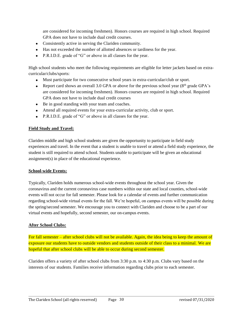are considered for incoming freshmen). Honors courses are required in high school. Required GPA does not have to include dual credit courses.

- Consistently active in serving the Clariden community.
- Has not exceeded the number of allotted absences or tardiness for the year.
- P.R.I.D.E. grade of "G" or above in all classes for the year.

High school students who meet the following requirements are eligible for letter jackets based on extracurricular/clubs/sports:

- Must participate for two consecutive school years in extra-curricular/club or sport.
- Report card shows an overall 3.0 GPA or above for the previous school year ( $8<sup>th</sup>$  grade GPA's are considered for incoming freshmen). Honors courses are required in high school. Required GPA does not have to include dual credit courses
- Be in good standing with your team and coaches.
- Attend all required events for your extra-curricular activity, club or sport.
- P.R.I.D.E. grade of "G" or above in all classes for the year.

#### **Field Study and Travel:**

Clariden middle and high school students are given the opportunity to participate in field study experiences and travel. In the event that a student is unable to travel or attend a field study experience, the student is still required to attend school. Students unable to participate will be given an educational assignment(s) in place of the educational experience.

#### **School-wide Events:**

Typically, Clariden holds numerous school-wide events throughout the school year. Given the coronavirus and the current coronavirus case numbers within our state and local counties, school-wide events will not occur for fall semester. Please look for a calendar of events and further communication regarding school-wide virtual events for the fall. We're hopeful, on campus events will be possible during the spring/second semester. We encourage you to connect with Clariden and choose to be a part of our virtual events and hopefully, second semester, our on-campus events.

#### **After School Clubs:**

For fall semester – after school clubs will not be available. Again, the idea being to keep the amount of exposure our students have to outside vendors and students outside of their class to a minimal. We are hopeful that after school clubs will be able to occur during second semester.

Clariden offers a variety of after school clubs from 3:30 p.m. to 4:30 p.m. Clubs vary based on the interests of our students. Families receive information regarding clubs prior to each semester.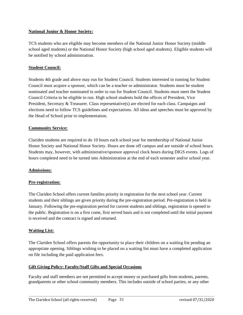#### **National Junior & Honor Society:**

TCS students who are eligible may become members of the National Junior Honor Society (middle school aged students) or the National Honor Society (high school aged students). Eligible students will be notified by school administration.

#### **Student Council:**

Students 4th grade and above may run for Student Council. Students interested in running for Student Council must acquire a sponsor, which can be a teacher or administrator. Students must be student nominated and teacher nominated in order to run for Student Council. Students must meet the Student Council Criteria to be eligible to run. High school students hold the offices of President, Vice President, Secretary & Treasurer. Class representative(s) are elected for each class. Campaigns and elections need to follow TCS guidelines and expectations. All ideas and speeches must be approved by the Head of School prior to implementation.

#### **Community Service:**

Clariden students are required to do 10 hours each school year for membership of National Junior Honor Society and National Honor Society. Hours are done off campus and are outside of school hours. Students may, however, with administrative/sponsor approval clock hours during DIGS events. Logs of hours completed need to be turned into Administration at the end of each semester and/or school year.

#### **Admissions:**

#### **Pre-registration:**

The Clariden School offers current families priority in registration for the next school year. Current students and their siblings are given priority during the pre-registration period. Pre-registration is held in January. Following the pre-registration period for current students and siblings, registration is opened to the public. Registration is on a first come, first served basis and is not completed until the initial payment is received and the contract is signed and returned.

#### **Waiting List:**

The Clariden School offers parents the opportunity to place their children on a waiting list pending an appropriate opening. Siblings wishing to be placed on a waiting list must have a completed application on file including the paid application fees.

#### **Gift Giving Policy: Faculty/Staff Gifts and Special Occasions**

Faculty and staff members are not permitted to accept money or purchased gifts from students, parents, grandparents or other school community members. This includes outside of school parties, or any other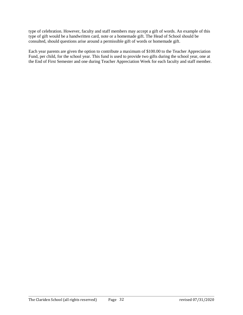type of celebration. However, faculty and staff members may accept a gift of words. An example of this type of gift would be a handwritten card, note or a homemade gift. The Head of School should be consulted, should questions arise around a permissible gift of words or homemade gift.

Each year parents are given the option to contribute a maximum of \$100.00 to the Teacher Appreciation Fund, per child, for the school year. This fund is used to provide two gifts during the school year, one at the End of First Semester and one during Teacher Appreciation Week for each faculty and staff member.